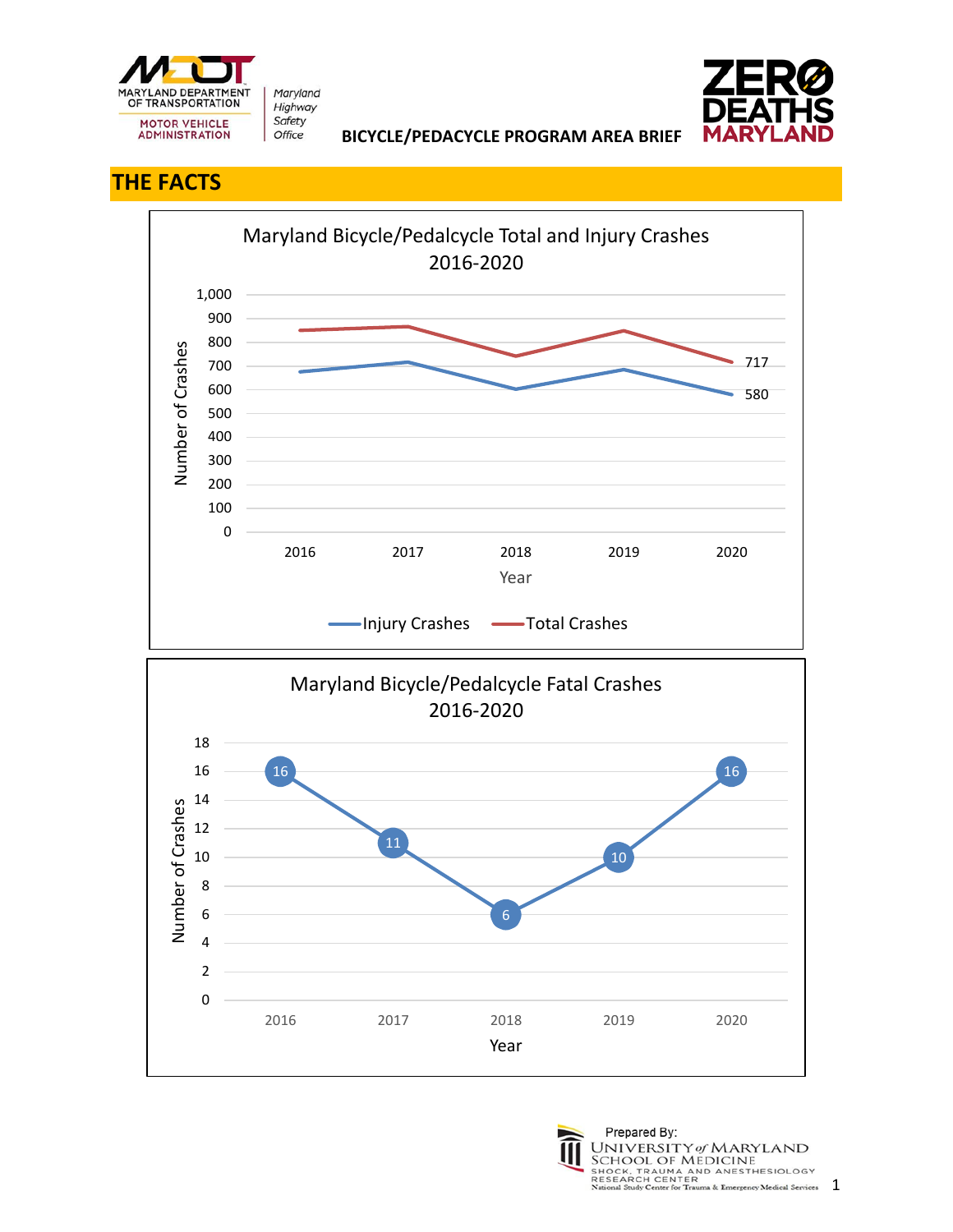

Maryland Highway Safety Office



 **BICYCLE/PEDACYCLE PROGRAM AREA BRIEF** 

## **THE FACTS**





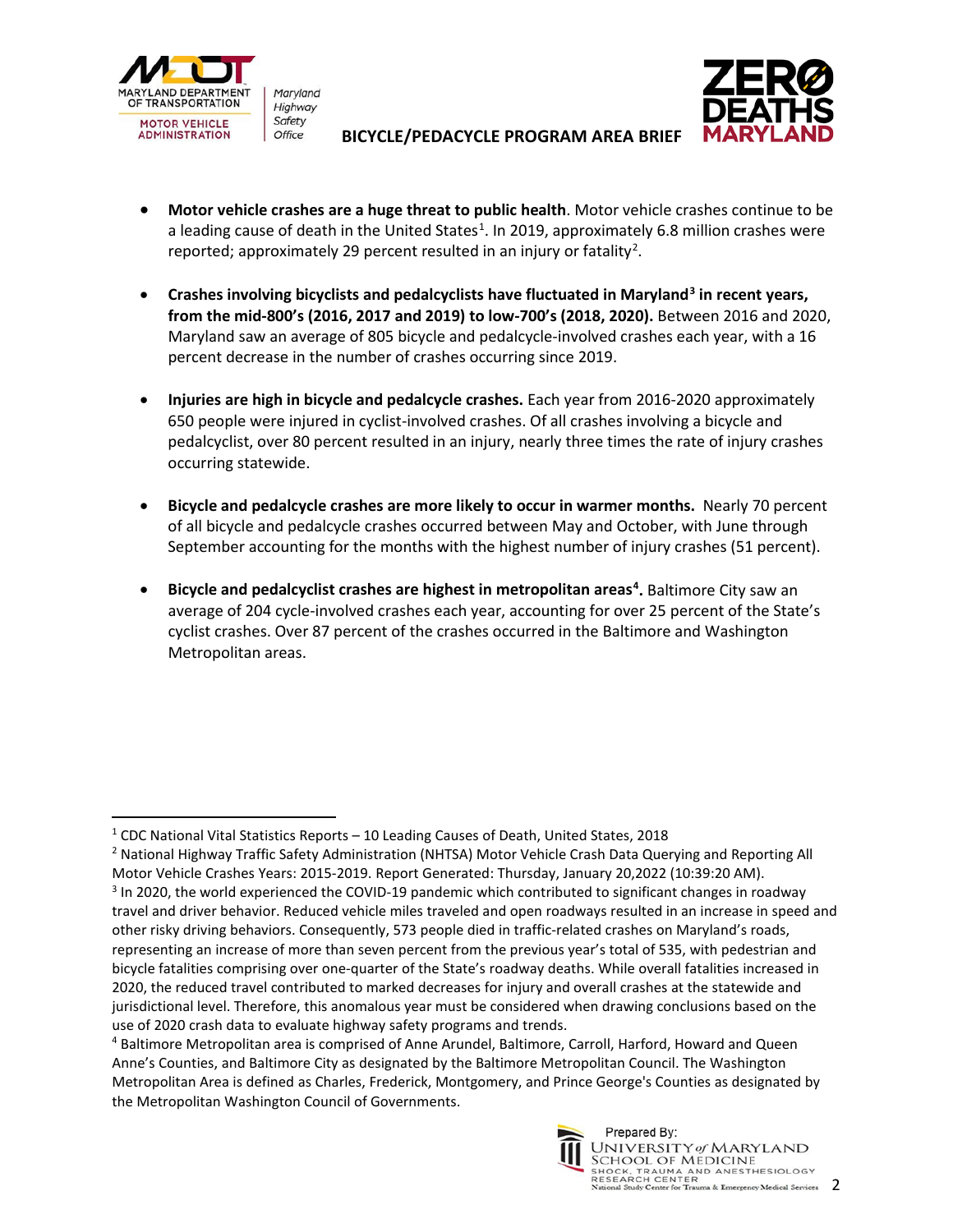

Maryland Highway Safety

## **BICYCLE/PEDACYCLE PROGRAM AREA BRIEF**



- **Motor vehicle crashes are a huge threat to public health**. Motor vehicle crashes continue to be a leading cause of death in the United States<sup>[1](#page-1-0)</sup>. In 2019, approximately 6.8 million crashes were reported; approximately [2](#page-1-1)9 percent resulted in an injury or fatality<sup>2</sup>.
- **Crashes involving bicyclists and pedalcyclists have fluctuated in Maryland[3](#page-1-2) in recent years, from the mid-800's (2016, 2017 and 2019) to low-700's (2018, 2020).** Between 2016 and 2020, Maryland saw an average of 805 bicycle and pedalcycle-involved crashes each year, with a 16 percent decrease in the number of crashes occurring since 2019.
- **Injuries are high in bicycle and pedalcycle crashes.** Each year from 2016-2020 approximately 650 people were injured in cyclist-involved crashes. Of all crashes involving a bicycle and pedalcyclist, over 80 percent resulted in an injury, nearly three times the rate of injury crashes occurring statewide.
- **Bicycle and pedalcycle crashes are more likely to occur in warmer months.** Nearly 70 percent of all bicycle and pedalcycle crashes occurred between May and October, with June through September accounting for the months with the highest number of injury crashes (51 percent).
- **Bicycle and pedalcyclist crashes are highest in metropolitan areas[4](#page-1-3) .** Baltimore City saw an average of 204 cycle-involved crashes each year, accounting for over 25 percent of the State's cyclist crashes. Over 87 percent of the crashes occurred in the Baltimore and Washington Metropolitan areas.

<span id="page-1-3"></span><sup>4</sup> Baltimore Metropolitan area is comprised of Anne Arundel, Baltimore, Carroll, Harford, Howard and Queen Anne's Counties, and Baltimore City as designated by the Baltimore Metropolitan Council. The Washington Metropolitan Area is defined as Charles, Frederick, Montgomery, and Prince George's Counties as designated by the Metropolitan Washington Council of Governments.



<span id="page-1-0"></span> $1$  CDC National Vital Statistics Reports – 10 Leading Causes of Death, United States, 2018

<span id="page-1-2"></span><span id="page-1-1"></span><sup>&</sup>lt;sup>2</sup> National Highway Traffic Safety Administration (NHTSA) Motor Vehicle Crash Data Querying and Reporting All Motor Vehicle Crashes Years: 2015-2019. Report Generated: Thursday, January 20,2022 (10:39:20 AM). <sup>3</sup> In 2020, the world experienced the COVID-19 pandemic which contributed to significant changes in roadway travel and driver behavior. Reduced vehicle miles traveled and open roadways resulted in an increase in speed and other risky driving behaviors. Consequently, 573 people died in traffic-related crashes on Maryland's roads, representing an increase of more than seven percent from the previous year's total of 535, with pedestrian and bicycle fatalities comprising over one-quarter of the State's roadway deaths. While overall fatalities increased in 2020, the reduced travel contributed to marked decreases for injury and overall crashes at the statewide and jurisdictional level. Therefore, this anomalous year must be considered when drawing conclusions based on the use of 2020 crash data to evaluate highway safety programs and trends.